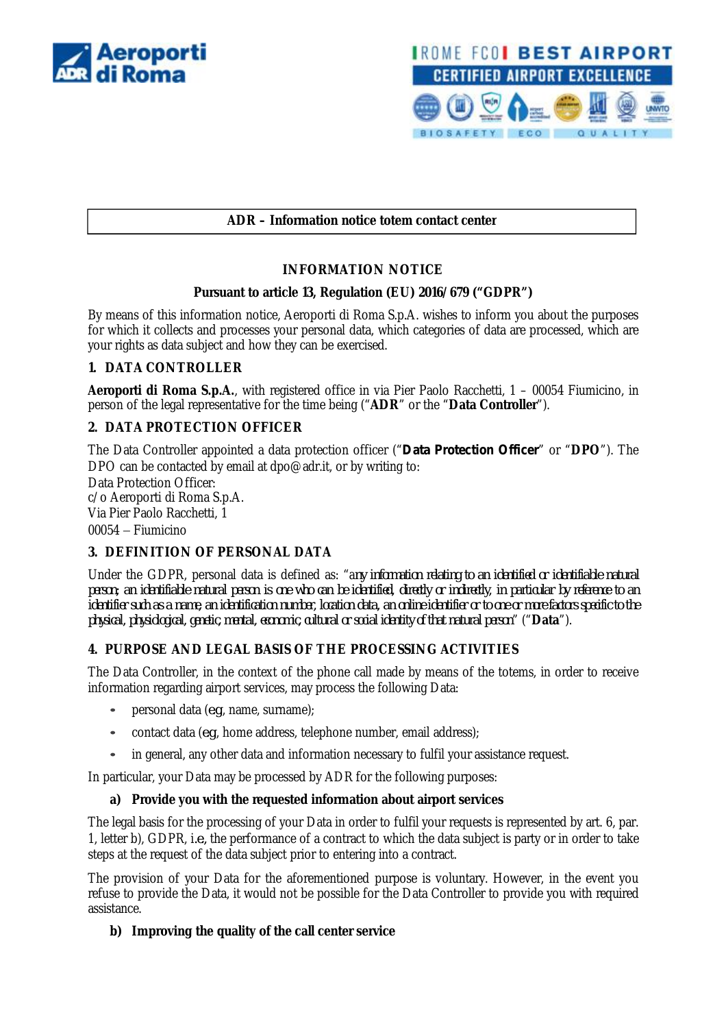



## **ADR – Information notice totem contact center**

## **INFORMATION NOTICE**

#### **Pursuant to article 13, Regulation (EU) 2016/679 ("GDPR")**

By means of this information notice, Aeroporti di Roma S.p.A. wishes to inform you about the purposes for which it collects and processes your personal data, which categories of data are processed, which are your rights as data subject and how they can be exercised.

## **1. DATA CONTROLLER**

**Aeroporti di Roma S.p.A.**, with registered office in via Pier Paolo Racchetti, 1 – 00054 Fiumicino, in person of the legal representative for the time being ("**ADR**" or the "**Data Controller**").

## **2. DATA PROTECTION OFFICER**

The Data Controller appointed a data protection officer ("*Data Protection Officer*" or "**DPO**"). The DPO can be contacted by email at [dpo@adr.it,](mailto:dpo@adr.it,) or by writing to:

Data Protection Officer:

c/o Aeroporti di Roma S.p.A. Via Pier Paolo Racchetti, 1 00054 Fiumicino

## **3. DEFINITION OF PERSONAL DATA**

Under the GDPR, personal data is defined as: "a*ny information relating to an identified or identifiable natural person; an identifiable natural person is one who can be identified, directly or indirectly, in particular by reference to an identifier such as a name, an identification number, location data, an online identifier or to one or more factors specific to the physical, physiological, genetic, mental, economic, cultural or social identity of that natural person*" ("**Data**").

## **4. PURPOSE AND LEGAL BASIS OF THE PROCESSING ACTIVITIES**

The Data Controller, in the context of the phone call made by means of the totems, in order to receive information regarding airport services, may process the following Data:

- personal data (*e.g*., name, surname);
- contact data (*e.g*., home address, telephone number, email address);
- in general, any other data and information necessary to fulfil your assistance request.

In particular, your Data may be processed by ADR for the following purposes:

## **a) Provide you with the requested information about airport services**

The legal basis for the processing of your Data in order to fulfil your requests is represented by art. 6, par. 1, letter b), GDPR, i*.e.,* the performance of a contract to which the data subject is party or in order to take steps at the request of the data subject prior to entering into a contract.

The provision of your Data for the aforementioned purpose is voluntary. However, in the event you refuse to provide the Data, it would not be possible for the Data Controller to provide you with required assistance.

## **b) Improving the quality of the call center service**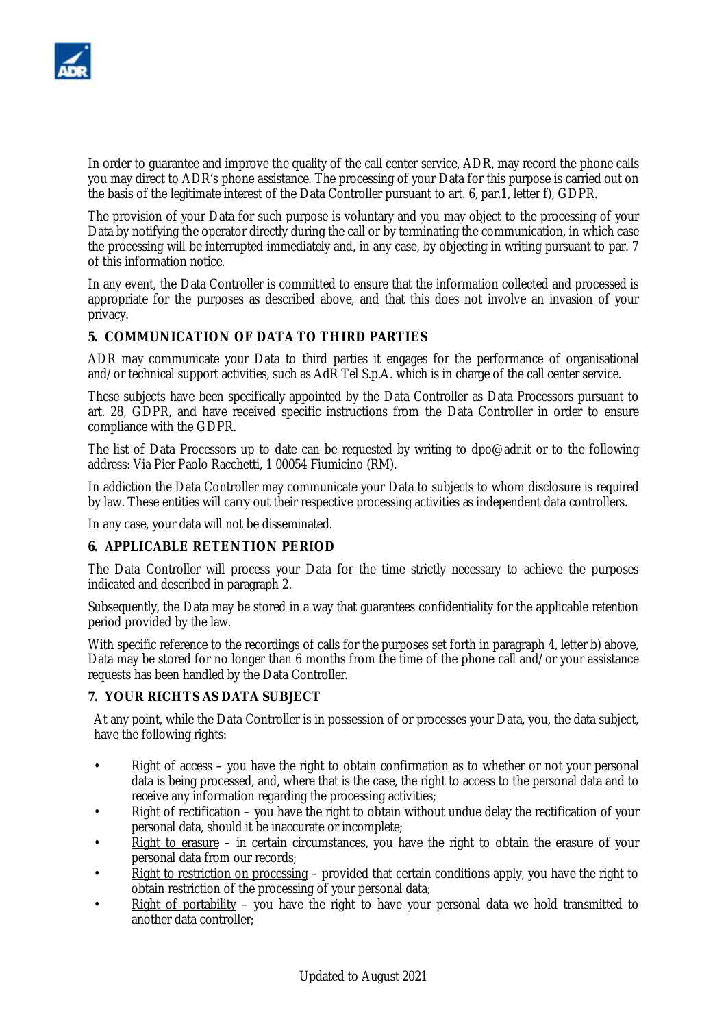

In order to guarantee and improve the quality of the call center service, ADR, may record the phone calls you may direct to ADR's phone assistance. The processing of your Data for this purpose is carried out on the basis of the legitimate interest of the Data Controller pursuant to art. 6, par.1, letter f), GDPR.

The provision of your Data for such purpose is voluntary and you may object to the processing of your Data by notifying the operator directly during the call or by terminating the communication, in which case the processing will be interrupted immediately and, in any case, by objecting in writing pursuant to par. 7 of this information notice.

In any event, the Data Controller is committed to ensure that the information collected and processed is appropriate for the purposes as described above, and that this does not involve an invasion of your privacy.

## **5. COMMUNICATION OF DATA TO THIRD PARTIES**

ADR may communicate your Data to third parties it engages for the performance of organisational and/or technical support activities, such as AdR Tel S.p.A. which is in charge of the call center service.

These subjects have been specifically appointed by the Data Controller as Data Processors pursuant to art. 28, GDPR, and have received specific instructions from the Data Controller in order to ensure compliance with the GDPR.

The list of Data Processors up to date can be requested by writing to [dpo@adr.it](mailto:dpo@adr.it) or to the following address: Via Pier Paolo Racchetti, 1 00054 Fiumicino (RM).

In addiction the Data Controller may communicate your Data to subjects to whom disclosure is required by law. These entities will carry out their respective processing activities as independent data controllers.

In any case, your data will not be disseminated.

#### **6. APPLICABLE RETENTION PERIOD**

The Data Controller will process your Data for the time strictly necessary to achieve the purposes indicated and described in paragraph 2.

Subsequently, the Data may be stored in a way that guarantees confidentiality for the applicable retention period provided by the law.

With specific reference to the recordings of calls for the purposes set forth in paragraph 4, letter b) above, Data may be stored for no longer than 6 months from the time of the phone call and/or your assistance requests has been handled by the Data Controller.

#### **7. YOUR RICHTS AS DATA SUBJECT**

At any point, while the Data Controller is in possession of or processes your Data, you, the data subject, have the following rights:

- $\frac{Right\ of\ access}{The\ use\ of\ the\ right\ to\ obtain\ confirmation\ as\ to\ whether\ or\ not\ your\ personal\ }$ data is being processed, and, where that is the case, the right to access to the personal data and to receive any information regarding the processing activities;
- Right of rectification you have the right to obtain without undue delay the rectification of your personal data, should it be inaccurate or incomplete;
- Right to erasure in certain circumstances, you have the right to obtain the erasure of your personal data from our records;
- Right to restriction on processing provided that certain conditions apply, you have the right to obtain restriction of the processing of your personal data;
- Right of portability you have the right to have your personal data we hold transmitted to another data controller;